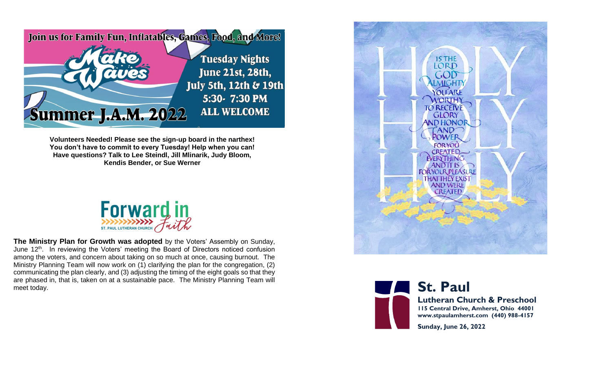

**Volunteers Needed! Please see the sign-up board in the narthex! You don't have to commit to every Tuesday! Help when you can! Have questions? Talk to Lee Steindl, Jill Mlinarik, Judy Bloom, Kendis Bender, or Sue Werner**



**The Ministry Plan for Growth was adopted** by the Voters' Assembly on Sunday, June 12<sup>th</sup>. In reviewing the Voters' meeting the Board of Directors noticed confusion among the voters, and concern about taking on so much at once, causing burnout. The Ministry Planning Team will now work on (1) clarifying the plan for the congregation, (2) communicating the plan clearly, and (3) adjusting the timing of the eight goals so that they are phased in, that is, taken on at a sustainable pace. The Ministry Planning Team will **with a strained and strained and strained and strained and strained and strained and strained and strained and strained and strained** 





**Lutheran Church & Preschool 115 Central Drive, Amherst, Ohio 44001 www.stpaulamherst.com (440) 988-4157**

**Sunday, June 26, 2022**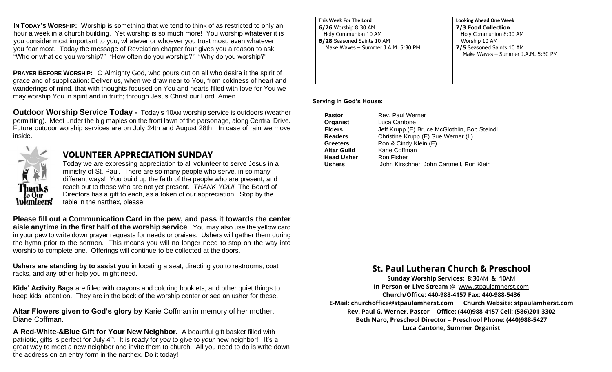**IN TODAY'S WORSHIP:** Worship is something that we tend to think of as restricted to only an hour a week in a church building. Yet worship is so much more! You worship whatever it is you consider most important to you, whatever or whoever you trust most, even whatever you fear most. Today the message of Revelation chapter four gives you a reason to ask, "Who or what do you worship?" "How often do you worship?" "Why do you worship?"

**PRAYER BEFORE WORSHIP:** O Almighty God, who pours out on all who desire it the spirit of grace and of supplication: Deliver us, when we draw near to You, from coldness of heart and wanderings of mind, that with thoughts focused on You and hearts filled with love for You we may worship You in spirit and in truth; through Jesus Christ our Lord. Amen.

**Outdoor Worship Service Today -** Today's 10AM worship service is outdoors (weather permitting). Meet under the big maples on the front lawn of the parsonage, along Central Drive. Future outdoor worship services are on July 24th and August 28th. In case of rain we move inside.



## **VOLUNTEER APPRECIATION SUNDAY**

Today we are expressing appreciation to all volunteer to serve Jesus in a ministry of St. Paul. There are so many people who serve, in so many different ways! You build up the faith of the people who are present, and reach out to those who are not yet present. *THANK YOU!* The Board of Directors has a gift to each, as a token of our appreciation! Stop by the table in the narthex, please!

**Please fill out a Communication Card in the pew, and pass it towards the center aisle anytime in the first half of the worship service**. You may also use the yellow card in your pew to write down prayer requests for needs or praises. Ushers will gather them during the hymn prior to the sermon. This means you will no longer need to stop on the way into worship to complete one. Offerings will continue to be collected at the doors.

**Ushers are standing by to assist you** in locating a seat, directing you to restrooms, coat racks, and any other help you might need.

**Kids' Activity Bags** are filled with crayons and coloring booklets, and other quiet things to keep kids' attention. They are in the back of the worship center or see an usher for these.

**Altar Flowers given to God's glory by** Karie Coffman in memory of her mother, Diane Coffman.

**A Red-White-&Blue Gift for Your New Neighbor.**A beautiful gift basket filled with patriotic, gifts is perfect for July 4th. It is ready for *you* to give to *your* new neighbor! It's a great way to meet a new neighbor and invite them to church. All you need to do is write down the address on an entry form in the narthex. Do it today!

| This Week For The Lord             | <b>Looking Ahead One Week</b>      |
|------------------------------------|------------------------------------|
| 6/26 Worship 8:30 AM               | 7/3 Food Collection                |
| Holy Communion 10 AM               | Holy Communion 8:30 AM             |
| 6/28 Seasoned Saints 10 AM         | Worship 10 AM                      |
| Make Waves - Summer J.A.M. 5:30 PM | 7/5 Seasoned Saints 10 AM          |
|                                    | Make Waves - Summer J.A.M. 5:30 PM |
|                                    |                                    |
|                                    |                                    |
|                                    |                                    |
|                                    |                                    |

## **Serving in God's House:**

| Rev. Paul Werner                             |
|----------------------------------------------|
| Luca Cantone                                 |
| Jeff Krupp (E) Bruce McGlothlin, Bob Steindl |
| Christine Krupp (E) Sue Werner (L)           |
| Ron & Cindy Klein (E)                        |
| Karie Coffman                                |
|                                              |
| John Kirschner, John Cartmell, Ron Klein     |
|                                              |

## **St. Paul Lutheran Church & Preschool**

**Sunday Worship Services: 8:30**AM **& 10**AM **In-Person or Live Stream** @ [www.stpaulamherst.com](http://www.stpaulamherst.com/) **Church/Office: 440-988-4157 Fax: 440-988-5436 E-Mail: churchoffice@stpaulamherst.com Church Website: stpaulamherst.com Rev. Paul G. Werner, Pastor - Office: (440)988-4157 Cell: (586)201-3302 Beth Naro, Preschool Director – Preschool Phone: (440)988-5427 Luca Cantone, Summer Organist**